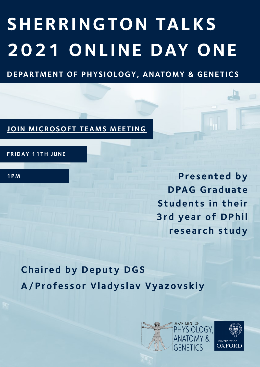# **SHERRINGTON TALKS 2021 ONLINE DAY ONE**

**DEPARTMENT OF PHYSIOLOGY, ANATOMY & GENETICS** 

### **JOIN MICROSOFT TEAMS MEETING**

**FRIDAY 11TH JUNE**

**1PM**

**Presented by DPAG Graduate Students in their 3rd year of DPhil research study**

**Chaired by Deputy DGS A / Professor Vladyslav Vyazovskiy**

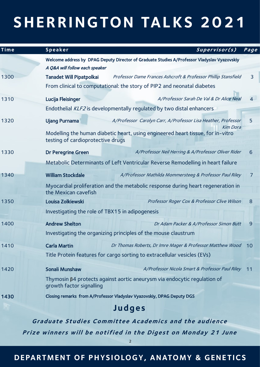| Time                                                         | Speaker                                                                                                              | Supervisor(s)                                                                    | Page           |
|--------------------------------------------------------------|----------------------------------------------------------------------------------------------------------------------|----------------------------------------------------------------------------------|----------------|
|                                                              | Welcome address by DPAG Deputy Director of Graduate Studies A/Professor Vladyslav Vyazovskiy                         |                                                                                  |                |
|                                                              | A Q&A will follow each speaker                                                                                       |                                                                                  |                |
| 1300                                                         | Tanadet Will Pipatpolkai                                                                                             | Professor Dame Frances Ashcroft & Professor Phillip Stansfield                   | $\overline{3}$ |
|                                                              | From clinical to computational: the story of PIP2 and neonatal diabetes                                              |                                                                                  |                |
| 1310                                                         | Lucija Fleisinger                                                                                                    | A/Professor Sarah De Val & Dr Alice Neal                                         | $\overline{4}$ |
|                                                              | Endothelial KLF2 is developmentally regulated by two distal enhancers                                                |                                                                                  |                |
| 1320                                                         | <b>Ujang Purnama</b>                                                                                                 | A/Professor Carolyn Carr, A/Professor Lisa Heather, Professor<br><b>Kim Dora</b> | 5              |
|                                                              | Modelling the human diabetic heart, using engineered heart tissue, for in-vitro<br>testing of cardioprotective drugs |                                                                                  |                |
| 1330                                                         | <b>Dr Peregrine Green</b>                                                                                            | A/Professor Neil Herring & A/Professor Oliver Rider                              | 6              |
|                                                              | Metabolic Determinants of Left Ventricular Reverse Remodelling in heart failure                                      |                                                                                  |                |
| 1340                                                         | <b>William Stockdale</b>                                                                                             | A/Professor Mathilda Mommersteeg & Professor Paul Riley                          | 7              |
|                                                              | Myocardial proliferation and the metabolic response during heart regeneration in<br>the Mexican cavefish             |                                                                                  |                |
| 1350                                                         | Louisa Zolkiewski                                                                                                    | Professor Roger Cox & Professor Clive Wilson                                     | 8              |
|                                                              | Investigating the role of TBX15 in adipogenesis                                                                      |                                                                                  |                |
| 1400                                                         | <b>Andrew Shelton</b>                                                                                                | Dr Adam Packer & A/Professor Simon Butt                                          | $\overline{9}$ |
|                                                              | Investigating the organizing principles of the mouse claustrum                                                       |                                                                                  |                |
| 1410                                                         | <b>Carla Martin</b>                                                                                                  | Dr Thomas Roberts, Dr Imre Mager & Professor Matthew Wood 10                     |                |
|                                                              | Title Protein features for cargo sorting to extracellular vesicles (EVs)                                             |                                                                                  |                |
| 1420                                                         | Sonali Munshaw                                                                                                       | A/Professor Nicola Smart & Professor Paul Riley                                  | 11             |
|                                                              | growth factor signalling                                                                                             | Thymosin β4 protects against aortic aneurysm via endocytic regulation of         |                |
| 1430                                                         | Closing remarks from A/Professor Vladyslav Vyazovskiy, DPAG Deputy DGS                                               |                                                                                  |                |
| <b>Judges</b>                                                |                                                                                                                      |                                                                                  |                |
| <b>Graduate Studies Committee Academics and the audience</b> |                                                                                                                      |                                                                                  |                |

**Prize winners will be notified in the Digest on Monday 21 June**

2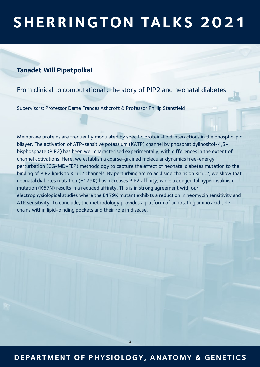#### **Tanadet Will Pipatpolkai**

#### From clinical to computational : the story of PIP2 and neonatal diabetes

Supervisors: Professor Dame Frances Ashcroft & Professor Phillip Stansfield

Membrane proteins are frequently modulated by specific protein-lipid interactions in the phospholipid bilayer. The activation of ATP-sensitive potassium (KATP) channel by phosphatidylinositol-4,5 bisphosphate (PIP2) has been well characterised experimentally, with differences in the extent of channel activations. Here, we establish a coarse-grained molecular dynamics free-energy perturbation (CG-MD-FEP) methodology to capture the effect of neonatal diabetes mutation to the binding of PIP2 lipids to Kir6.2 channels. By perturbing amino acid side chains on Kir6.2, we show that neonatal diabetes mutation (E179K) has increases PIP2 affinity, while a congenital hyperinsulinism mutation (K67N) results in a reduced affinity. This is in strong agreement with our electrophysiological studies where the E179K mutant exhibits a reduction in neomycin sensitivity and ATP sensitivity. To conclude, the methodology provides a platform of annotating amino acid side chains within lipid-binding pockets and their role in disease.

### **DEPARTMENT OF PHYSIOLOGY, ANATOMY & GENE TICS**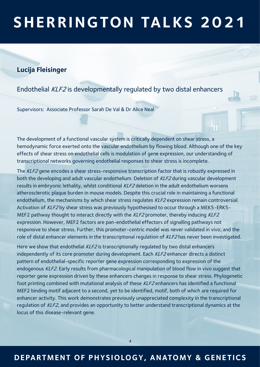#### **Lucija Fleisinger**

Endothelial KLF2 is developmentally regulated by two distal enhancers

Supervisors: Associate Professor Sarah De Val & Dr Alice Neal

The development of a functional vascular system is critically dependent on shear stress, a hemodynamic force exerted onto the vascular endothelium by flowing blood. Although one of the key effects of shear stress on endothelial cells is modulation of gene expression, our understanding of transcriptional networks governing endothelial responses to shear stress is incomplete.

The KLF2 gene encodes a shear stress-responsive transcription factor that is robustly expressed in both the developing and adult vascular endothelium. Deletion of KLF2 during vascular development results in embryonic lethality, whilst conditional KLF2 deletion in the adult endothelium worsens atherosclerotic plaque burden in mouse models. Despite this crucial role in maintaining a functional endothelium, the mechanisms by which shear stress regulates KLF2 expression remain controversial. Activation of KLF2 by shear stress was previously hypothesised to occur through a MEK5-ERK5-MEF2 pathway thought to interact directly with the  $KLF2$  promoter, thereby inducing  $KLF2$ expression. However, MEF2 factors are pan-endothelial effectors of signalling pathways not responsive to shear stress. Further, this promoter-centric model was never validated in vivo, and the role of distal enhancer elements in the transcriptional regulation of KLF2 has never been investigated.

Here we show that endothelial KLF2 is transcriptionally regulated by two distal enhancers independently of its core promoter during development. Each KLF2 enhancer directs a distinct pattern of endothelial-specific reporter gene expression corresponding to expression of the endogenous KLF2. Early results from pharmacological manipulation of blood flow in vivo suggest that reporter gene expression driven by these enhancers changes in response to shear stress. Phylogenetic foot printing combined with mutational analysis of these KLF2 enhancers has identified a functional MEF2 binding motif adjacent to a second, yet to be identified, motif, both of which are required for enhancer activity. This work demonstrates previously unappreciated complexity in the transcriptional regulation of KLF2, and provides an opportunity to better understand transcriptional dynamics at the locus of this disease-relevant gene.

#### **DEPARTMENT OF PHYSIOLOGY, ANATOMY & GENE TICS**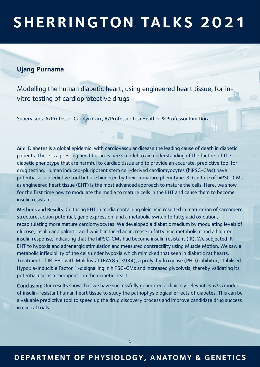#### **Ujang Purnama**

Modelling the human diabetic heart, using engineered heart tissue, for invitro testing of cardioprotective drugs

Supervisors: A/Professor Carolyn Carr, A/Professor Lisa Heather & Professor Kim Dora

Aim: Diabetes is a global epidemic, with cardiovascular disease the leading cause of death in diabetic patients. There is a pressing need for an *in-vitro* model to aid understanding of the factors of the diabetic phenotype that are harmful to cardiac tissue and to provide an accurate, predictive tool for drug testing. Human induced-pluripotent stem cell-derived cardiomyocytes (hiPSC-CMs) have potential as a predictive tool but are hindered by their immature phenotype. 3D culture of hiPSC-CMs as engineered heart tissue (EHT) is the most advanced approach to mature the cells. Here, we show for the first time how to modulate the media to mature cells in the EHT and cause them to become insulin resistant.

Methods and Results: Culturing EHT in media containing oleic acid resulted in maturation of sarcomere structure, action potential, gene expression, and a metabolic switch to fatty acid oxidation, recapitulating more mature cardiomyocytes. We developed a diabetic medium by modulating levels of glucose, insulin and palmitic acid which induced an increase in fatty acid metabolism and a blunted insulin response, indicating that the hiPSC-CMs had become insulin resistant (IR). We subjected IR-EHT to hypoxia and adrenergic stimulation and measured contractility using Muscle Motion. We saw a metabolic inflexibility of the cells under hypoxia which mimicked that seen in diabetic rat hearts. Treatment of IR-EHT with Molidustat (BAY85-3934), a prolyl hydroxylase (PHD) inhibitor, stabilised Hypoxia-Inducible Factor 1-α signalling in hiPSC-CMs and increased glycolysis, thereby validating its potential use as a therapeutic in the diabetic heart.

Conclusion: Our results show that we have successfully generated a clinically relevant in vitro model of insulin-resistant human heart tissue to study the pathophysiological effects of diabetes. This can be a valuable predictive tool to speed up the drug discovery process and improve candidate drug success in clinical trials.

### **DEPARTMENT OF PHYSIOLOGY, ANATOMY & GENE TICS**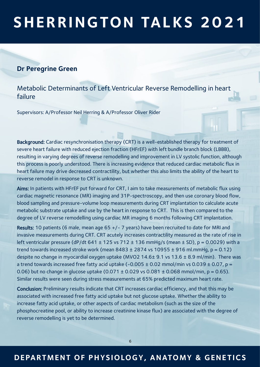#### **Dr Peregrine Green**

Metabolic Determinants of Left Ventricular Reverse Remodelling in heart failure

Supervisors: A/Professor Neil Herring & A/Professor Oliver Rider

Background: Cardiac resynchronisation therapy (CRT) is a well-established therapy for treatment of severe heart failure with reduced ejection fraction (HFrEF) with left bundle branch block (LBBB), resulting in varying degrees of reverse remodelling and improvement in LV systolic function, although this process is poorly understood. There is increasing evidence that reduced cardiac metabolic flux in heart failure may drive decreased contractility, but whether this also limits the ability of the heart to reverse remodel in response to CRT is unknown.

Aims: In patients with HFrEF put forward for CRT, I aim to take measurements of metabolic flux using cardiac magnetic resonance (MR) imaging and 31P-spectroscopy, and then use coronary blood flow, blood sampling and pressure-volume loop measurements during CRT implantation to calculate acute metabolic substrate uptake and use by the heart in response to CRT. This is then compared to the degree of LV reverse remodelling using cardiac MR imaging 6 months following CRT implantation.

Results: 10 patients (6 male, mean age 65 +/- 7 years) have been recruited to date for MRI and invasive measurements during CRT. CRT acutely increases contractility measured as the rate of rise in left ventricular pressure (dP/dt 641  $\pm$  125 vs 712  $\pm$  136 mmHg/s (mean  $\pm$  SD), p = 0.0029) with a trend towards increased stroke work (mean  $8483 \pm 2874$  vs  $10955 \pm 916$  ml.mmHq, p = 0.12) despite no change in myocardial oxygen uptake (MVO2 14.6± 9.1 vs 13.6 ± 8.9 ml/min). There was a trend towards increased free fatty acid uptake  $(-0.005 \pm 0.02 \text{ mmol/min} \text{ vs } 0.039 \pm 0.07, \text{ p} =$ 0.06) but no change in glucose uptake  $(0.071 \pm 0.029 \text{ vs } 0.081 \pm 0.068 \text{ mmol/min}, p = 0.65)$ . Similar results were seen during stress measurements at 65% predicted maximum heart rate.

Conclusion: Preliminary results indicate that CRT increases cardiac efficiency, and that this may be associated with increased free fatty acid uptake but not glucose uptake. Whether the ability to increase fatty acid uptake, or other aspects of cardiac metabolism (such as the size of the phosphocreatine pool, or ability to increase creatinine kinase flux) are associated with the degree of reverse remodelling is yet to be determined.

### **DEPARTMENT OF PHYSIOLOGY, ANATOMY & GENE TICS**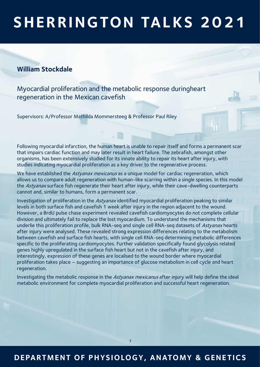#### **William Stockdale**

Myocardial proliferation and the metabolic response duringheart regeneration in the Mexican cavefish

Supervisors: A/Professor Mathilda Mommersteeg & Professor Paul Riley

Following myocardial infarction, the human heart is unable to repair itself and forms a permanent scar that impairs cardiac function and may later result in heart failure. The zebrafish, amongst other organisms, has been extensively studied for its innate ability to repair its heart after injury, with studies indicating myocardial proliferation as a key driver to the regenerative process.

We have established the Astyanax mexicanus as a unique model for cardiac regeneration, which allows us to compare adult regeneration with human-like scarring within a single species. In this model the Astyanax surface fish regenerate their heart after injury, while their cave-dwelling counterparts cannot and, similar to humans, form a permanent scar.

Investigation of proliferation in the Astyanax identified myocardial proliferation peaking to similar levels in both surface fish and cavefish 1 week after injury in the region adjacent to the wound. However, a BrdU pulse chase experiment revealed cavefish cardiomyocytes do not complete cellular division and ultimately fail to replace the lost myocardium. To understand the mechanisms that underlie this proliferation profile, bulk RNA-seq and single cell RNA-seq datasets of Astyanax hearts after injury were analysed. These revealed strong expression differences relating to the metabolism between cavefish and surface fish hearts, with single cell RNA-seq determining metabolic differences specific to the proliferating cardiomyocytes. Further validation specifically found glycolysis related genes highly upregulated in the surface fish heart but not in the cavefish after injury, and interestingly, expression of these genes are localised to the wound border where myocardial proliferation takes place – suggesting an importance of glucose metabolism in cell cycle and heart regeneration.

Investigating the metabolic response in the Astyanax mexicanus after injury will help define the ideal metabolic environment for complete myocardial proliferation and successful heart regeneration.

### **DEPARTMENT OF PHYSIOLOGY, ANATOMY & GENE TICS**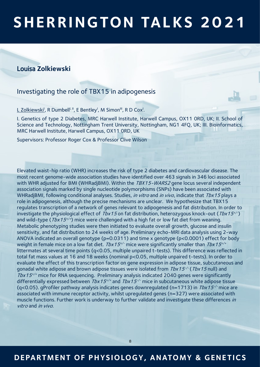#### Louisa **Zolkiewski**

#### Investigating the role of TBX15 in adipogenesis

L Zolkiewski<sup>i</sup>, R Dumbell<sup>ı, ıı</sup>, E Bentley<sup>ı</sup>, M Simon<sup>ii,</sup>, R D Cox<sup>i</sup>.

I. Genetics of type 2 Diabetes, MRC Harwell Institute, Harwell Campus, OX11 0RD, UK; II. School of Science and Technology, Nottingham Trent University, Nottingham, NG1 4FQ, UK; III. Bioinformatics, MRC Harwell Institute, Harwell Campus, OX11 0RD, UK

Supervisors: Professor Roger Cox & Professor Clive Wilson

Elevated waist-hip ratio (WHR) increases the risk of type 2 diabetes and cardiovascular disease. The most recent genome-wide association studies have identified over 463 signals in 346 loci associated with WHR adjusted for BMI (WHRadjBMI). Within the TBX15-WARS2 gene locus several independent association signals marked by single nucleotide polymorphisms (SNPs) have been associated with WHRadjBMI, following conditional analyses. Studies, in vitro and in vivo, indicate that Tbx15 plays a role in adipogenesis, although the precise mechanisms are unclear. We hypothesize that TBX15 regulates transcription of a network of genes relevant to adipogenesis and fat distribution. In order to investigate the physiological effect of  $Tbx15$  on fat distribution, heterozygous knock-out ( $Tbx15^{+/}$ ) and wild-type ( $Tbx15^{+/+}$ ) mice were challenged with a high fat or low fat diet from weaning. Metabolic phenotyping studies were then initiated to evaluate overall growth, glucose and insulin sensitivity, and fat distribution to 24 weeks of age. Preliminary echo-MRI data analysis using 2-way ANOVA indicated an overall genotype (p=0.0311) and time x genotype (p<0.0001) effect for body weight in female mice on a low fat diet. *Tbx15<sup>+/-</sup>* mice were significantly smaller than *Tbx15<sup>+/+</sup>* littermates at several time points (q<0.05, multiple unpaired t-tests). This difference was reflected in total fat mass values at 16 and 18 weeks (nominal p<0.05, multiple unpaired t-tests). In order to evaluate the effect of this transcription factor on gene expression in adipose tissue, subcutaneous and gonadal white adipose and brown adipose tissues were isolated from *Tbx15<sup>-/-</sup> (Tbx15* null) and  $Tbx15^{+/+}$  mice for RNA sequencing. Preliminary analysis indicated 2040 genes were significantly differentially expressed between  $Tbx15^{+/+}$  and  $Tbx15^{-/-}$  mice in subcutaneous white adipose tissue (q<0.05). gProfiler pathway analysis indicates genes downregulated (n=1713) in  $Tbx15^{-/}$  mice are associated with immune receptor activity, whilst upregulated genes (n=327) were associated with muscle functions. Further work is underway to further validate and investigate these differences in vitro and in vivo.

### **DEPARTMENT OF PHYSIOLOGY, ANATOMY & GENE TICS**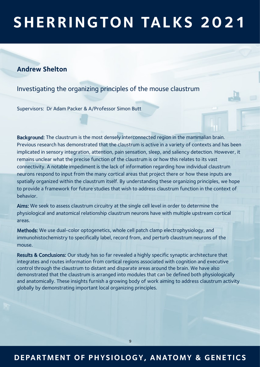#### **Andrew Shelton**

Investigating the organizing principles of the mouse claustrum

Supervisors: Dr Adam Packer & A/Professor Simon Butt

Background: The claustrum is the most densely interconnected region in the mammalian brain. Previous research has demonstrated that the claustrum is active in a variety of contexts and has been implicated in sensory integration, attention, pain sensation, sleep, and saliency detection. However, it remains unclear what the precise function of the claustrum is or how this relates to its vast connectivity. A notable impediment is the lack of information regarding how individual claustrum neurons respond to input from the many cortical areas that project there or how these inputs are spatially organized within the claustrum itself. By understanding these organizing principles, we hope to provide a framework for future studies that wish to address claustrum function in the context of behavior.

Aims: We seek to assess claustrum circuitry at the single cell level in order to determine the physiological and anatomical relationship claustrum neurons have with multiple upstream cortical areas.

Methods: We use dual-color optogenetics, whole cell patch clamp electrophysiology, and immunohistochemistry to specifically label, record from, and perturb claustrum neurons of the mouse.

Results & Conclusions: Our study has so far revealed a highly specific synaptic architecture that integrates and routes information from cortical regions associated with cognition and executive control through the claustrum to distant and disparate areas around the brain. We have also demonstrated that the claustrum is arranged into modules that can be defined both physiologically and anatomically. These insights furnish a growing body of work aiming to address claustrum activity globally by demonstrating important local organizing principles.

### **DEPARTMENT OF PHYSIOLOGY, ANATOMY & GENE TICS**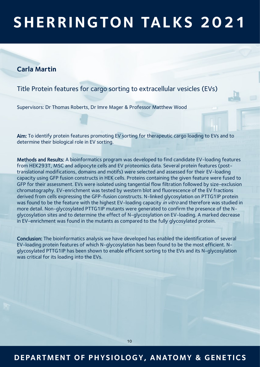#### **Carla Martin**

Title Protein features for cargo sorting to extracellular vesicles (EVs)

Supervisors: Dr Thomas Roberts, Dr Imre Mager & Professor Matthew Wood

Aim: To identify protein features promoting EV sorting for therapeutic cargo loading to EVs and to determine their biological role in EV sorting.

Methods and Results: A bioinformatics program was developed to find candidate EV-loading features from HEK293T, MSC and adipocyte cells and EV proteomics data. Several protein features (posttranslational modifications, domains and motifs) were selected and assessed for their EV-loading capacity using GFP fusion constructs in HEK cells. Proteins containing the given feature were fused to GFP for their assessment. EVs were isolated using tangential flow filtration followed by size-exclusion chromatography. EV-enrichment was tested by western blot and fluorescence of the EV fractions derived from cells expressing the GFP-fusion constructs. N-linked glycosylation on PTTG1IP protein was found to be the feature with the highest EV-loading capacity in vitro and therefore was studied in more detail. Non-glycosylated PTTG1IP mutants were generated to confirm the presence of the Nglycosylation sites and to determine the effect of N-glycosylation on EV-loading. A marked decrease in EV-enrichment was found in the mutants as compared to the fully glycosylated protein.

Conclusion: The bioinformatics analysis we have developed has enabled the identification of several EV-loading protein features of which N-glycosylation has been found to be the most efficient. Nglycosylated PTTG1IP has been shown to enable efficient sorting to the EVs and its N-glycosylation was critical for its loading into the EVs.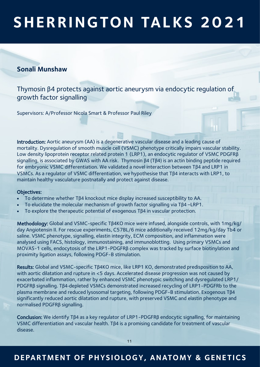#### **Sonali Munshaw**

Thymosin β4 protects against aortic aneurysm via endocytic regulation of growth factor signalling

Supervisors: A/Professor Nicola Smart & Professor Paul Riley

Introduction: Aortic aneurysm (AA) is a degenerative vascular disease and a leading cause of mortality. Dysregulation of smooth muscle cell (VSMC) phenotype critically impairs vascular stability. Low density lipoprotein receptor related protein 1 (LRP1), an endocytic regulator of VSMC PDGFRβ signalling, is associated by GWAS with AA risk. Thymosin β4 (Tβ4) is an actin binding peptide required for embryonic VSMC differentiation. We validated a novel interaction between Tβ4 and LRP1 in VSMCs. As a regulator of VSMC differentiation, we hypothesise that Tβ4 interacts with LRP1, to maintain healthy vasculature postnatally and protect against disease.

#### Objectives:

- To determine whether Tβ4 knockout mice display increased susceptibility to AA.
- To elucidate the molecular mechanism of growth factor signalling via Tβ4 –LRP1.
- To explore the therapeutic potential of exogenous Tβ4 in vascular protection.

Methodology: Global and VSMC-specific Tβ4KO mice were infused, alongside controls, with 1mg/kg/ day Angiotensin II. For rescue experiments, C57BL/6 mice additionally received 12mg/kg/day Tb4 or saline. VSMC phenotype, signalling, elastin integrity, ECM composition, and inflammation were analysed using FACS, histology, immunostaining, and immunoblotting. Using primary VSMCs and MOVAS-1 cells, endocytosis of the LRP1-PDGFRβ complex was tracked by surface biotinylation and proximity ligation assays, following PDGF-B stimulation.

Results: Global and VSMC-specific Tβ4KO mice, like LRP1 KO, demonstrated predisposition to AA, with aortic dilatation and rupture in <5 days. Accelerated disease progression was not caused by exacerbated inflammation, rather by enhanced VSMC phenotypic switching and dysregulated LRP1/ PDGFRβ signalling. Tβ4-depleted VSMCs demonstrated increased recycling of LRP1-PDGFRb to the plasma membrane and reduced lysosomal targeting, following PDGF-B stimulation. Exogenous Tβ4 significantly reduced aortic dilatation and rupture, with preserved VSMC and elastin phenotype and normalised PDGFRβ signalling.

Conclusion: We identify Tβ4 as a key regulator of LRP1-PDGFRβ endocytic signalling, for maintaining VSMC differentiation and vascular health. Tβ4 is a promising candidate for treatment of vascular disease.